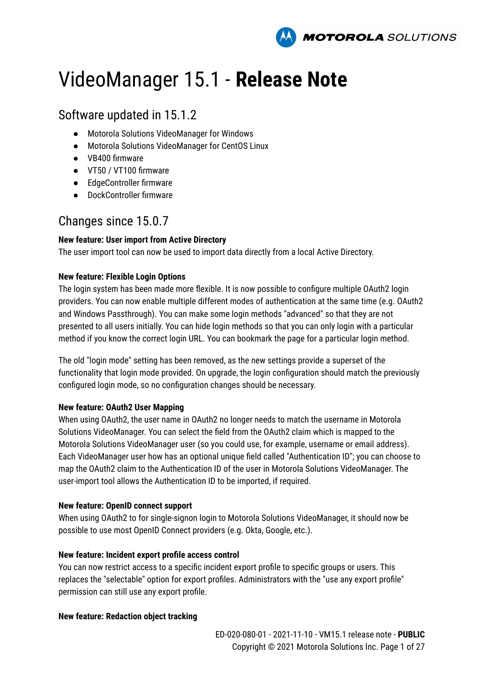

# VideoManager 15.1 - **Release Note**

# Software updated in 15.1.2

- Motorola Solutions VideoManager for Windows
- Motorola Solutions VideoManager for CentOS Linux
- VB400 firmware
- VT50 / VT100 firmware
- EdgeController firmware
- DockController firmware

# Changes since 15.0.7

# **New feature: User import from Active Directory**

The user import tool can now be used to import data directly from a local Active Directory.

# **New feature: Flexible Login Options**

The login system has been made more flexible. It is now possible to configure multiple OAuth2 login providers. You can now enable multiple different modes of authentication at the same time (e.g. OAuth2 and Windows Passthrough). You can make some login methods "advanced" so that they are not presented to all users initially. You can hide login methods so that you can only login with a particular method if you know the correct login URL. You can bookmark the page for a particular login method.

The old "login mode" setting has been removed, as the new settings provide a superset of the functionality that login mode provided. On upgrade, the login configuration should match the previously configured login mode, so no configuration changes should be necessary.

# **New feature: OAuth2 User Mapping**

When using OAuth2, the user name in OAuth2 no longer needs to match the username in Motorola Solutions VideoManager. You can select the field from the OAuth2 claim which is mapped to the Motorola Solutions VideoManager user (so you could use, for example, username or email address). Each VideoManager user how has an optional unique field called "Authentication ID"; you can choose to map the OAuth2 claim to the Authentication ID of the user in Motorola Solutions VideoManager. The user-import tool allows the Authentication ID to be imported, if required.

### **New feature: OpenID connect support**

When using OAuth2 to for single-signon login to Motorola Solutions VideoManager, it should now be possible to use most OpenID Connect providers (e.g. Okta, Google, etc.).

# **New feature: Incident export profile access control**

You can now restrict access to a specific incident export profile to specific groups or users. This replaces the "selectable" option for export profiles. Administrators with the "use any export profile" permission can still use any export profile.

# **New feature: Redaction object tracking**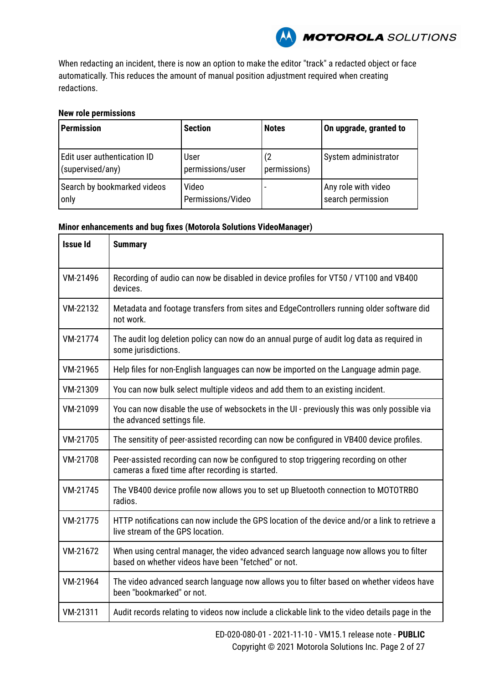

When redacting an incident, there is now an option to make the editor "track" a redacted object or face automatically. This reduces the amount of manual position adjustment required when creating redactions.

# **New role permissions**

| <b>Permission</b>           | <b>Section</b>    | <b>Notes</b> | On upgrade, granted to |
|-----------------------------|-------------------|--------------|------------------------|
| Edit user authentication ID | User              | (2)          | System administrator   |
| (supervised/any)            | permissions/user  | permissions) |                        |
| Search by bookmarked videos | Video             |              | Any role with video    |
| only                        | Permissions/Video |              | search permission      |

| <b>Issue Id</b> | <b>Summary</b>                                                                                                                                 |
|-----------------|------------------------------------------------------------------------------------------------------------------------------------------------|
| VM-21496        | Recording of audio can now be disabled in device profiles for VT50 / VT100 and VB400<br>devices.                                               |
| VM-22132        | Metadata and footage transfers from sites and EdgeControllers running older software did<br>not work.                                          |
| VM-21774        | The audit log deletion policy can now do an annual purge of audit log data as required in<br>some jurisdictions.                               |
| VM-21965        | Help files for non-English languages can now be imported on the Language admin page.                                                           |
| VM-21309        | You can now bulk select multiple videos and add them to an existing incident.                                                                  |
| VM-21099        | You can now disable the use of websockets in the UI - previously this was only possible via<br>the advanced settings file.                     |
| VM-21705        | The sensitity of peer-assisted recording can now be configured in VB400 device profiles.                                                       |
| VM-21708        | Peer-assisted recording can now be configured to stop triggering recording on other<br>cameras a fixed time after recording is started.        |
| VM-21745        | The VB400 device profile now allows you to set up Bluetooth connection to MOTOTRBO<br>radios.                                                  |
| VM-21775        | HTTP notifications can now include the GPS location of the device and/or a link to retrieve a<br>live stream of the GPS location.              |
| VM-21672        | When using central manager, the video advanced search language now allows you to filter<br>based on whether videos have been "fetched" or not. |
| VM-21964        | The video advanced search language now allows you to filter based on whether videos have<br>been "bookmarked" or not.                          |
| VM-21311        | Audit records relating to videos now include a clickable link to the video details page in the                                                 |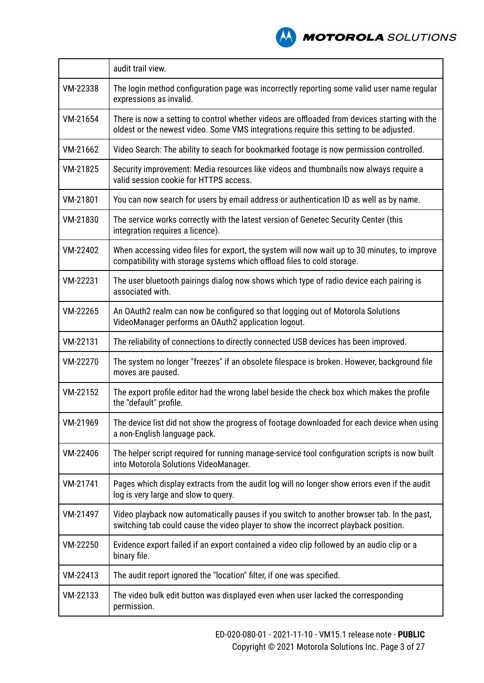

|          | audit trail view.                                                                                                                                                                       |
|----------|-----------------------------------------------------------------------------------------------------------------------------------------------------------------------------------------|
| VM-22338 | The login method configuration page was incorrectly reporting some valid user name regular<br>expressions as invalid.                                                                   |
| VM-21654 | There is now a setting to control whether videos are offloaded from devices starting with the<br>oldest or the newest video. Some VMS integrations require this setting to be adjusted. |
| VM-21662 | Video Search: The ability to seach for bookmarked footage is now permission controlled.                                                                                                 |
| VM-21825 | Security improvement: Media resources like videos and thumbnails now always require a<br>valid session cookie for HTTPS access.                                                         |
| VM-21801 | You can now search for users by email address or authentication ID as well as by name.                                                                                                  |
| VM-21830 | The service works correctly with the latest version of Genetec Security Center (this<br>integration requires a licence).                                                                |
| VM-22402 | When accessing video files for export, the system will now wait up to 30 minutes, to improve<br>compatibility with storage systems which offload files to cold storage.                 |
| VM-22231 | The user bluetooth pairings dialog now shows which type of radio device each pairing is<br>associated with.                                                                             |
| VM-22265 | An OAuth2 realm can now be configured so that logging out of Motorola Solutions<br>VideoManager performs an OAuth2 application logout.                                                  |
| VM-22131 | The reliability of connections to directly connected USB devices has been improved.                                                                                                     |
| VM-22270 | The system no longer "freezes" if an obsolete filespace is broken. However, background file<br>moves are paused.                                                                        |
| VM-22152 | The export profile editor had the wrong label beside the check box which makes the profile<br>the "default" profile.                                                                    |
| VM-21969 | The device list did not show the progress of footage downloaded for each device when using<br>a non-English language pack.                                                              |
| VM-22406 | The helper script required for running manage-service tool configuration scripts is now built<br>into Motorola Solutions VideoManager.                                                  |
| VM-21741 | Pages which display extracts from the audit log will no longer show errors even if the audit<br>log is very large and slow to query.                                                    |
| VM-21497 | Video playback now automatically pauses if you switch to another browser tab. In the past,<br>switching tab could cause the video player to show the incorrect playback position.       |
| VM-22250 | Evidence export failed if an export contained a video clip followed by an audio clip or a<br>binary file.                                                                               |
| VM-22413 | The audit report ignored the "location" filter, if one was specified.                                                                                                                   |
| VM-22133 | The video bulk edit button was displayed even when user lacked the corresponding<br>permission.                                                                                         |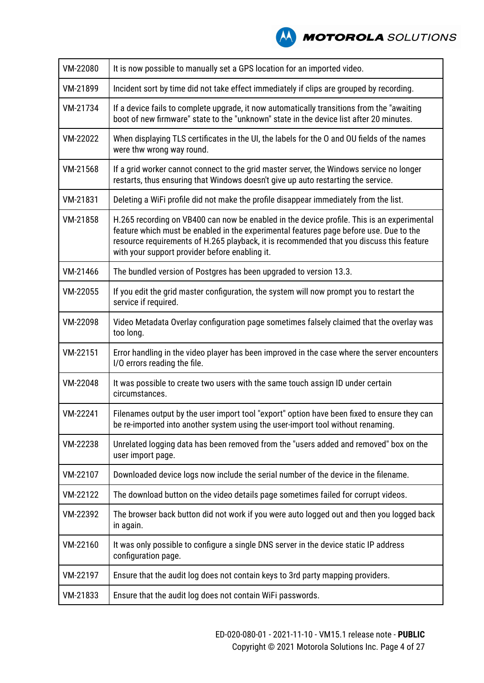

| VM-22080 | It is now possible to manually set a GPS location for an imported video.                                                                                                                                                                                                                                                           |
|----------|------------------------------------------------------------------------------------------------------------------------------------------------------------------------------------------------------------------------------------------------------------------------------------------------------------------------------------|
| VM-21899 | Incident sort by time did not take effect immediately if clips are grouped by recording.                                                                                                                                                                                                                                           |
| VM-21734 | If a device fails to complete upgrade, it now automatically transitions from the "awaiting<br>boot of new firmware" state to the "unknown" state in the device list after 20 minutes.                                                                                                                                              |
| VM-22022 | When displaying TLS certificates in the UI, the labels for the O and OU fields of the names<br>were thw wrong way round.                                                                                                                                                                                                           |
| VM-21568 | If a grid worker cannot connect to the grid master server, the Windows service no longer<br>restarts, thus ensuring that Windows doesn't give up auto restarting the service.                                                                                                                                                      |
| VM-21831 | Deleting a WiFi profile did not make the profile disappear immediately from the list.                                                                                                                                                                                                                                              |
| VM-21858 | H.265 recording on VB400 can now be enabled in the device profile. This is an experimental<br>feature which must be enabled in the experimental features page before use. Due to the<br>resource requirements of H.265 playback, it is recommended that you discuss this feature<br>with your support provider before enabling it. |
| VM-21466 | The bundled version of Postgres has been upgraded to version 13.3.                                                                                                                                                                                                                                                                 |
| VM-22055 | If you edit the grid master configuration, the system will now prompt you to restart the<br>service if required.                                                                                                                                                                                                                   |
| VM-22098 | Video Metadata Overlay configuration page sometimes falsely claimed that the overlay was<br>too long.                                                                                                                                                                                                                              |
| VM-22151 | Error handling in the video player has been improved in the case where the server encounters<br>I/O errors reading the file.                                                                                                                                                                                                       |
| VM-22048 | It was possible to create two users with the same touch assign ID under certain<br>circumstances.                                                                                                                                                                                                                                  |
| VM-22241 | Filenames output by the user import tool "export" option have been fixed to ensure they can<br>be re-imported into another system using the user-import tool without renaming.                                                                                                                                                     |
| VM-22238 | Unrelated logging data has been removed from the "users added and removed" box on the<br>user import page.                                                                                                                                                                                                                         |
| VM-22107 | Downloaded device logs now include the serial number of the device in the filename.                                                                                                                                                                                                                                                |
| VM-22122 | The download button on the video details page sometimes failed for corrupt videos.                                                                                                                                                                                                                                                 |
| VM-22392 | The browser back button did not work if you were auto logged out and then you logged back<br>in again.                                                                                                                                                                                                                             |
| VM-22160 | It was only possible to configure a single DNS server in the device static IP address<br>configuration page.                                                                                                                                                                                                                       |
| VM-22197 | Ensure that the audit log does not contain keys to 3rd party mapping providers.                                                                                                                                                                                                                                                    |
| VM-21833 | Ensure that the audit log does not contain WiFi passwords.                                                                                                                                                                                                                                                                         |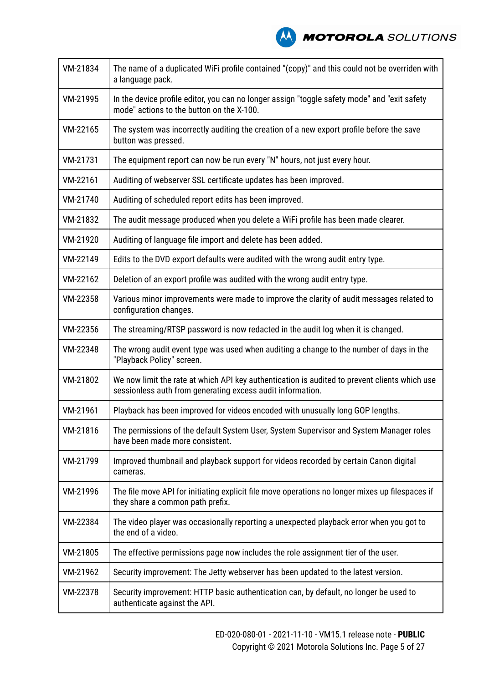**A MOTOROLA** SOLUTIONS

| VM-21834 | The name of a duplicated WiFi profile contained "(copy)" and this could not be overriden with<br>a language pack.                                           |
|----------|-------------------------------------------------------------------------------------------------------------------------------------------------------------|
| VM-21995 | In the device profile editor, you can no longer assign "toggle safety mode" and "exit safety<br>mode" actions to the button on the X-100.                   |
| VM-22165 | The system was incorrectly auditing the creation of a new export profile before the save<br>button was pressed.                                             |
| VM-21731 | The equipment report can now be run every "N" hours, not just every hour.                                                                                   |
| VM-22161 | Auditing of webserver SSL certificate updates has been improved.                                                                                            |
| VM-21740 | Auditing of scheduled report edits has been improved.                                                                                                       |
| VM-21832 | The audit message produced when you delete a WiFi profile has been made clearer.                                                                            |
| VM-21920 | Auditing of language file import and delete has been added.                                                                                                 |
| VM-22149 | Edits to the DVD export defaults were audited with the wrong audit entry type.                                                                              |
| VM-22162 | Deletion of an export profile was audited with the wrong audit entry type.                                                                                  |
| VM-22358 | Various minor improvements were made to improve the clarity of audit messages related to<br>configuration changes.                                          |
| VM-22356 | The streaming/RTSP password is now redacted in the audit log when it is changed.                                                                            |
| VM-22348 | The wrong audit event type was used when auditing a change to the number of days in the<br>"Playback Policy" screen.                                        |
| VM-21802 | We now limit the rate at which API key authentication is audited to prevent clients which use<br>sessionless auth from generating excess audit information. |
| VM-21961 | Playback has been improved for videos encoded with unusually long GOP lengths.                                                                              |
| VM-21816 | The permissions of the default System User, System Supervisor and System Manager roles<br>have been made more consistent.                                   |
| VM-21799 | Improved thumbnail and playback support for videos recorded by certain Canon digital<br>cameras.                                                            |
| VM-21996 | The file move API for initiating explicit file move operations no longer mixes up filespaces if<br>they share a common path prefix.                         |
| VM-22384 | The video player was occasionally reporting a unexpected playback error when you got to<br>the end of a video.                                              |
| VM-21805 | The effective permissions page now includes the role assignment tier of the user.                                                                           |
| VM-21962 | Security improvement: The Jetty webserver has been updated to the latest version.                                                                           |
| VM-22378 | Security improvement: HTTP basic authentication can, by default, no longer be used to<br>authenticate against the API.                                      |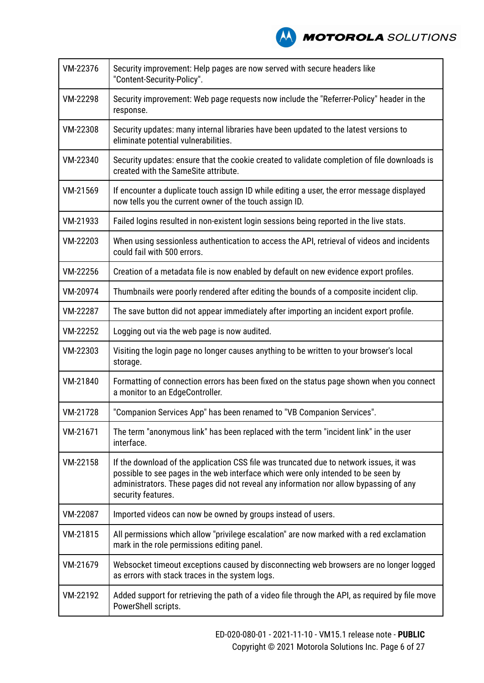

| VM-22376 | Security improvement: Help pages are now served with secure headers like<br>"Content-Security-Policy".                                                                                                                                                                                      |
|----------|---------------------------------------------------------------------------------------------------------------------------------------------------------------------------------------------------------------------------------------------------------------------------------------------|
| VM-22298 | Security improvement: Web page requests now include the "Referrer-Policy" header in the<br>response.                                                                                                                                                                                        |
| VM-22308 | Security updates: many internal libraries have been updated to the latest versions to<br>eliminate potential vulnerabilities.                                                                                                                                                               |
| VM-22340 | Security updates: ensure that the cookie created to validate completion of file downloads is<br>created with the SameSite attribute.                                                                                                                                                        |
| VM-21569 | If encounter a duplicate touch assign ID while editing a user, the error message displayed<br>now tells you the current owner of the touch assign ID.                                                                                                                                       |
| VM-21933 | Failed logins resulted in non-existent login sessions being reported in the live stats.                                                                                                                                                                                                     |
| VM-22203 | When using sessionless authentication to access the API, retrieval of videos and incidents<br>could fail with 500 errors.                                                                                                                                                                   |
| VM-22256 | Creation of a metadata file is now enabled by default on new evidence export profiles.                                                                                                                                                                                                      |
| VM-20974 | Thumbnails were poorly rendered after editing the bounds of a composite incident clip.                                                                                                                                                                                                      |
| VM-22287 | The save button did not appear immediately after importing an incident export profile.                                                                                                                                                                                                      |
| VM-22252 | Logging out via the web page is now audited.                                                                                                                                                                                                                                                |
| VM-22303 | Visiting the login page no longer causes anything to be written to your browser's local<br>storage.                                                                                                                                                                                         |
| VM-21840 | Formatting of connection errors has been fixed on the status page shown when you connect<br>a monitor to an EdgeController.                                                                                                                                                                 |
| VM-21728 | "Companion Services App" has been renamed to "VB Companion Services".                                                                                                                                                                                                                       |
| VM-21671 | The term "anonymous link" has been replaced with the term "incident link" in the user<br>interface.                                                                                                                                                                                         |
| VM-22158 | If the download of the application CSS file was truncated due to network issues, it was<br>possible to see pages in the web interface which were only intended to be seen by<br>administrators. These pages did not reveal any information nor allow bypassing of any<br>security features. |
| VM-22087 | Imported videos can now be owned by groups instead of users.                                                                                                                                                                                                                                |
| VM-21815 | All permissions which allow "privilege escalation" are now marked with a red exclamation<br>mark in the role permissions editing panel.                                                                                                                                                     |
| VM-21679 | Websocket timeout exceptions caused by disconnecting web browsers are no longer logged<br>as errors with stack traces in the system logs.                                                                                                                                                   |
| VM-22192 | Added support for retrieving the path of a video file through the API, as required by file move<br>PowerShell scripts.                                                                                                                                                                      |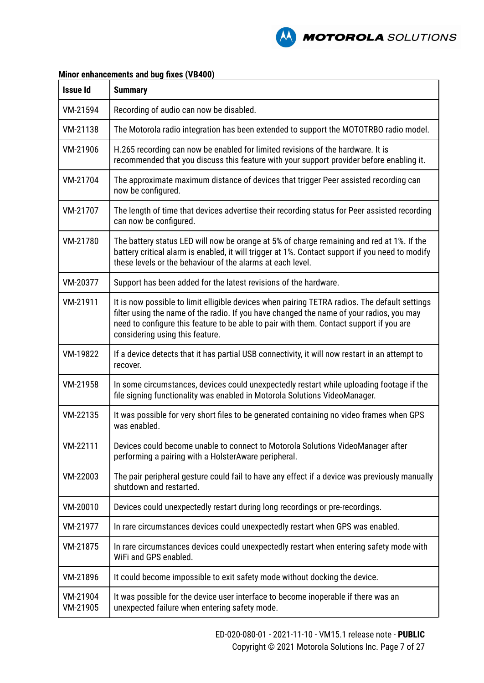

| <b>Issue Id</b>      | <b>Summary</b>                                                                                                                                                                                                                                                                                                          |
|----------------------|-------------------------------------------------------------------------------------------------------------------------------------------------------------------------------------------------------------------------------------------------------------------------------------------------------------------------|
| VM-21594             | Recording of audio can now be disabled.                                                                                                                                                                                                                                                                                 |
| VM-21138             | The Motorola radio integration has been extended to support the MOTOTRBO radio model.                                                                                                                                                                                                                                   |
| VM-21906             | H.265 recording can now be enabled for limited revisions of the hardware. It is<br>recommended that you discuss this feature with your support provider before enabling it.                                                                                                                                             |
| VM-21704             | The approximate maximum distance of devices that trigger Peer assisted recording can<br>now be configured.                                                                                                                                                                                                              |
| VM-21707             | The length of time that devices advertise their recording status for Peer assisted recording<br>can now be configured.                                                                                                                                                                                                  |
| VM-21780             | The battery status LED will now be orange at 5% of charge remaining and red at 1%. If the<br>battery critical alarm is enabled, it will trigger at 1%. Contact support if you need to modify<br>these levels or the behaviour of the alarms at each level.                                                              |
| VM-20377             | Support has been added for the latest revisions of the hardware.                                                                                                                                                                                                                                                        |
| VM-21911             | It is now possible to limit elligible devices when pairing TETRA radios. The default settings<br>filter using the name of the radio. If you have changed the name of your radios, you may<br>need to configure this feature to be able to pair with them. Contact support if you are<br>considering using this feature. |
| VM-19822             | If a device detects that it has partial USB connectivity, it will now restart in an attempt to<br>recover.                                                                                                                                                                                                              |
| VM-21958             | In some circumstances, devices could unexpectedly restart while uploading footage if the<br>file signing functionality was enabled in Motorola Solutions VideoManager.                                                                                                                                                  |
| VM-22135             | It was possible for very short files to be generated containing no video frames when GPS<br>was enabled.                                                                                                                                                                                                                |
| VM-22111             | Devices could become unable to connect to Motorola Solutions VideoManager after<br>performing a pairing with a HolsterAware peripheral.                                                                                                                                                                                 |
| VM-22003             | The pair peripheral gesture could fail to have any effect if a device was previously manually<br>shutdown and restarted.                                                                                                                                                                                                |
| VM-20010             | Devices could unexpectedly restart during long recordings or pre-recordings.                                                                                                                                                                                                                                            |
| VM-21977             | In rare circumstances devices could unexpectedly restart when GPS was enabled.                                                                                                                                                                                                                                          |
| VM-21875             | In rare circumstances devices could unexpectedly restart when entering safety mode with<br>WiFi and GPS enabled.                                                                                                                                                                                                        |
| VM-21896             | It could become impossible to exit safety mode without docking the device.                                                                                                                                                                                                                                              |
| VM-21904<br>VM-21905 | It was possible for the device user interface to become inoperable if there was an<br>unexpected failure when entering safety mode.                                                                                                                                                                                     |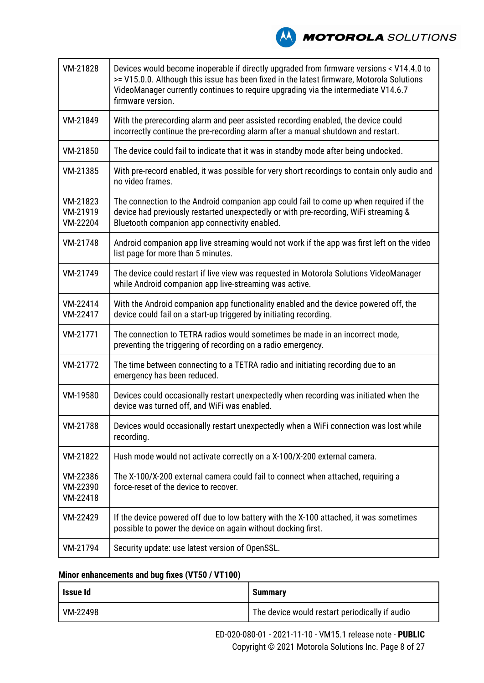**MOTOROLA** SOLUTIONS

| VM-21828                         | Devices would become inoperable if directly upgraded from firmware versions < V14.4.0 to<br>>= V15.0.0. Although this issue has been fixed in the latest firmware, Motorola Solutions<br>VideoManager currently continues to require upgrading via the intermediate V14.6.7<br>firmware version. |
|----------------------------------|--------------------------------------------------------------------------------------------------------------------------------------------------------------------------------------------------------------------------------------------------------------------------------------------------|
| VM-21849                         | With the prerecording alarm and peer assisted recording enabled, the device could<br>incorrectly continue the pre-recording alarm after a manual shutdown and restart.                                                                                                                           |
| VM-21850                         | The device could fail to indicate that it was in standby mode after being undocked.                                                                                                                                                                                                              |
| VM-21385                         | With pre-record enabled, it was possible for very short recordings to contain only audio and<br>no video frames.                                                                                                                                                                                 |
| VM-21823<br>VM-21919<br>VM-22204 | The connection to the Android companion app could fail to come up when required if the<br>device had previously restarted unexpectedly or with pre-recording, WiFi streaming &<br>Bluetooth companion app connectivity enabled.                                                                  |
| VM-21748                         | Android companion app live streaming would not work if the app was first left on the video<br>list page for more than 5 minutes.                                                                                                                                                                 |
| VM-21749                         | The device could restart if live view was requested in Motorola Solutions VideoManager<br>while Android companion app live-streaming was active.                                                                                                                                                 |
| VM-22414<br>VM-22417             | With the Android companion app functionality enabled and the device powered off, the<br>device could fail on a start-up triggered by initiating recording.                                                                                                                                       |
| VM-21771                         | The connection to TETRA radios would sometimes be made in an incorrect mode,<br>preventing the triggering of recording on a radio emergency.                                                                                                                                                     |
| VM-21772                         | The time between connecting to a TETRA radio and initiating recording due to an<br>emergency has been reduced.                                                                                                                                                                                   |
| VM-19580                         | Devices could occasionally restart unexpectedly when recording was initiated when the<br>device was turned off, and WiFi was enabled.                                                                                                                                                            |
| VM-21788                         | Devices would occasionally restart unexpectedly when a WiFi connection was lost while<br>recording.                                                                                                                                                                                              |
| VM-21822                         | Hush mode would not activate correctly on a X-100/X-200 external camera.                                                                                                                                                                                                                         |
| VM-22386<br>VM-22390<br>VM-22418 | The X-100/X-200 external camera could fail to connect when attached, requiring a<br>force-reset of the device to recover.                                                                                                                                                                        |
| VM-22429                         | If the device powered off due to low battery with the X-100 attached, it was sometimes<br>possible to power the device on again without docking first.                                                                                                                                           |
| VM-21794                         | Security update: use latest version of OpenSSL.                                                                                                                                                                                                                                                  |

# **Minor enhancements and bug fixes (VT50 / VT100)**

| Issue Id | <b>Summary</b>                                 |
|----------|------------------------------------------------|
| VM-22498 | The device would restart periodically if audio |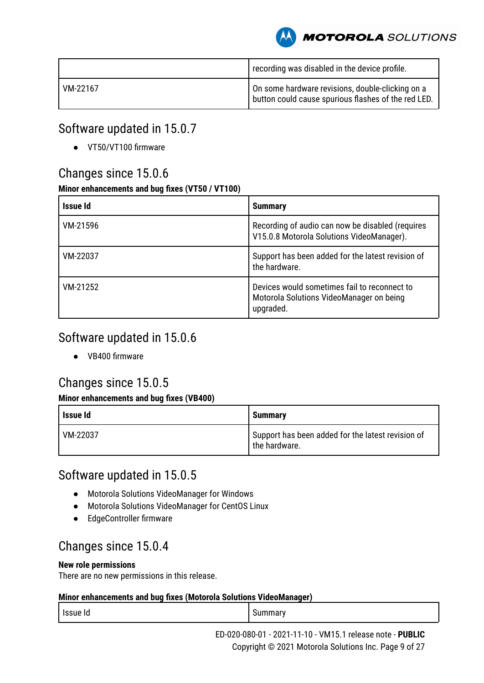**MOTOROLA** SOLUTIONS

|          | recording was disabled in the device profile.                                                           |
|----------|---------------------------------------------------------------------------------------------------------|
| VM-22167 | On some hardware revisions, double-clicking on a<br>button could cause spurious flashes of the red LED. |

# Software updated in 15.0.7

● VT50/VT100 firmware

# Changes since 15.0.6

# **Minor enhancements and bug fixes (VT50 / VT100)**

| Issue Id | <b>Summary</b>                                                                                        |
|----------|-------------------------------------------------------------------------------------------------------|
| VM-21596 | Recording of audio can now be disabled (requires<br>V15.0.8 Motorola Solutions VideoManager).         |
| VM-22037 | Support has been added for the latest revision of<br>the hardware.                                    |
| VM-21252 | Devices would sometimes fail to reconnect to<br>Motorola Solutions VideoManager on being<br>upgraded. |

# Software updated in 15.0.6

● VB400 firmware

# Changes since 15.0.5

# **Minor enhancements and bug fixes (VB400)**

| Issue Id | <b>Summary</b>                                                     |
|----------|--------------------------------------------------------------------|
| VM-22037 | Support has been added for the latest revision of<br>the hardware. |

# Software updated in 15.0.5

- Motorola Solutions VideoManager for Windows
- Motorola Solutions VideoManager for CentOS Linux
- EdgeController firmware

# Changes since 15.0.4

# **New role permissions**

There are no new permissions in this release.

| Issue Id<br>. | Summarv<br>ווור |
|---------------|-----------------|
|---------------|-----------------|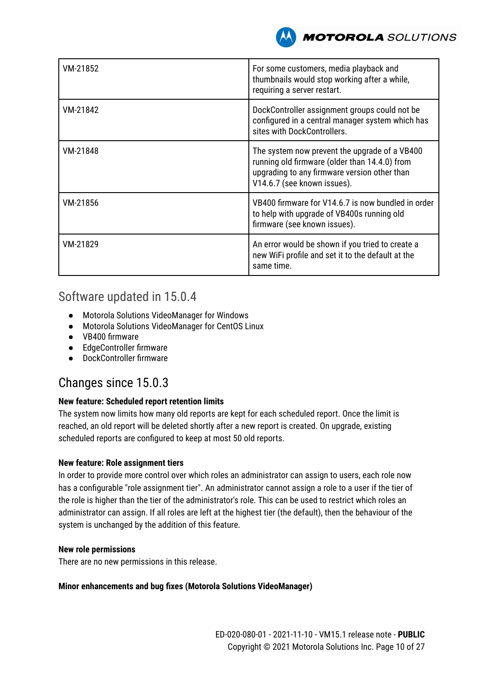

| VM-21852 | For some customers, media playback and<br>thumbnails would stop working after a while,<br>requiring a server restart.                                                         |
|----------|-------------------------------------------------------------------------------------------------------------------------------------------------------------------------------|
| VM-21842 | DockController assignment groups could not be<br>configured in a central manager system which has<br>sites with DockControllers.                                              |
| VM-21848 | The system now prevent the upgrade of a VB400<br>running old firmware (older than 14.4.0) from<br>upgrading to any firmware version other than<br>V14.6.7 (see known issues). |
| VM-21856 | VB400 firmware for V14.6.7 is now bundled in order<br>to help with upgrade of VB400s running old<br>firmware (see known issues).                                              |
| VM-21829 | An error would be shown if you tried to create a<br>new WiFi profile and set it to the default at the<br>same time.                                                           |

# Software updated in 15.0.4

- Motorola Solutions VideoManager for Windows
- Motorola Solutions VideoManager for CentOS Linux
- VB400 firmware
- EdgeController firmware
- DockController firmware

# Changes since 15.0.3

# **New feature: Scheduled report retention limits**

The system now limits how many old reports are kept for each scheduled report. Once the limit is reached, an old report will be deleted shortly after a new report is created. On upgrade, existing scheduled reports are configured to keep at most 50 old reports.

### **New feature: Role assignment tiers**

In order to provide more control over which roles an administrator can assign to users, each role now has a configurable "role assignment tier". An administrator cannot assign a role to a user if the tier of the role is higher than the tier of the administrator's role. This can be used to restrict which roles an administrator can assign. If all roles are left at the highest tier (the default), then the behaviour of the system is unchanged by the addition of this feature.

### **New role permissions**

There are no new permissions in this release.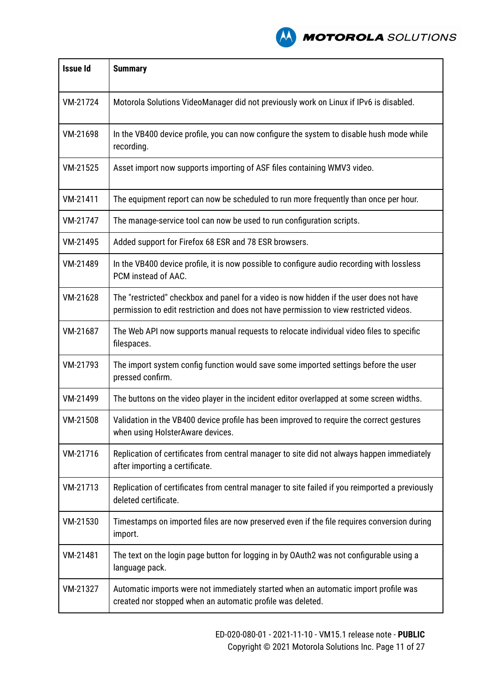

| <b>Issue Id</b> | <b>Summary</b>                                                                                                                                                                    |  |
|-----------------|-----------------------------------------------------------------------------------------------------------------------------------------------------------------------------------|--|
| VM-21724        | Motorola Solutions VideoManager did not previously work on Linux if IPv6 is disabled.                                                                                             |  |
| VM-21698        | In the VB400 device profile, you can now configure the system to disable hush mode while<br>recording.                                                                            |  |
| VM-21525        | Asset import now supports importing of ASF files containing WMV3 video.                                                                                                           |  |
| VM-21411        | The equipment report can now be scheduled to run more frequently than once per hour.                                                                                              |  |
| VM-21747        | The manage-service tool can now be used to run configuration scripts.                                                                                                             |  |
| VM-21495        | Added support for Firefox 68 ESR and 78 ESR browsers.                                                                                                                             |  |
| VM-21489        | In the VB400 device profile, it is now possible to configure audio recording with lossless<br>PCM instead of AAC.                                                                 |  |
| VM-21628        | The "restricted" checkbox and panel for a video is now hidden if the user does not have<br>permission to edit restriction and does not have permission to view restricted videos. |  |
| VM-21687        | The Web API now supports manual requests to relocate individual video files to specific<br>filespaces.                                                                            |  |
| VM-21793        | The import system config function would save some imported settings before the user<br>pressed confirm.                                                                           |  |
| VM-21499        | The buttons on the video player in the incident editor overlapped at some screen widths.                                                                                          |  |
| VM-21508        | Validation in the VB400 device profile has been improved to require the correct gestures<br>when using HolsterAware devices.                                                      |  |
| VM-21716        | Replication of certificates from central manager to site did not always happen immediately<br>after importing a certificate.                                                      |  |
| VM-21713        | Replication of certificates from central manager to site failed if you reimported a previously<br>deleted certificate.                                                            |  |
| VM-21530        | Timestamps on imported files are now preserved even if the file requires conversion during<br>import.                                                                             |  |
| VM-21481        | The text on the login page button for logging in by OAuth2 was not configurable using a<br>language pack.                                                                         |  |
| VM-21327        | Automatic imports were not immediately started when an automatic import profile was<br>created nor stopped when an automatic profile was deleted.                                 |  |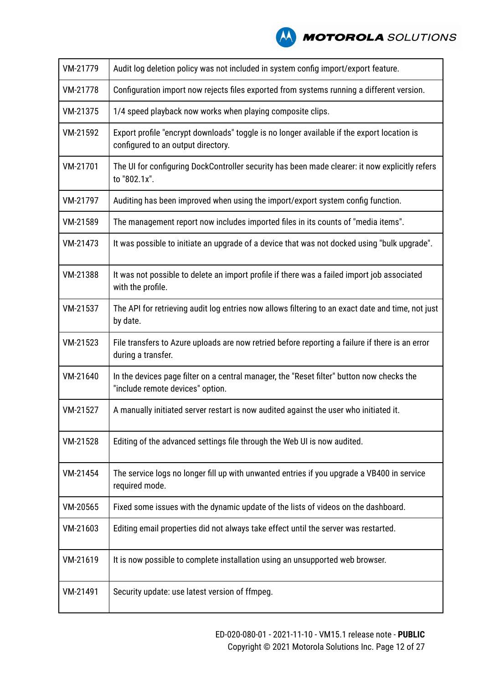

| VM-21779 | Audit log deletion policy was not included in system config import/export feature.                                               |  |
|----------|----------------------------------------------------------------------------------------------------------------------------------|--|
| VM-21778 | Configuration import now rejects files exported from systems running a different version.                                        |  |
| VM-21375 | 1/4 speed playback now works when playing composite clips.                                                                       |  |
| VM-21592 | Export profile "encrypt downloads" toggle is no longer available if the export location is<br>configured to an output directory. |  |
| VM-21701 | The UI for configuring DockController security has been made clearer: it now explicitly refers<br>to "802.1x".                   |  |
| VM-21797 | Auditing has been improved when using the import/export system config function.                                                  |  |
| VM-21589 | The management report now includes imported files in its counts of "media items".                                                |  |
| VM-21473 | It was possible to initiate an upgrade of a device that was not docked using "bulk upgrade".                                     |  |
| VM-21388 | It was not possible to delete an import profile if there was a failed import job associated<br>with the profile.                 |  |
| VM-21537 | The API for retrieving audit log entries now allows filtering to an exact date and time, not just<br>by date.                    |  |
| VM-21523 | File transfers to Azure uploads are now retried before reporting a failure if there is an error<br>during a transfer.            |  |
| VM-21640 | In the devices page filter on a central manager, the "Reset filter" button now checks the<br>"include remote devices" option.    |  |
| VM-21527 | A manually initiated server restart is now audited against the user who initiated it.                                            |  |
| VM-21528 | Editing of the advanced settings file through the Web UI is now audited.                                                         |  |
| VM-21454 | The service logs no longer fill up with unwanted entries if you upgrade a VB400 in service<br>required mode.                     |  |
| VM-20565 | Fixed some issues with the dynamic update of the lists of videos on the dashboard.                                               |  |
| VM-21603 | Editing email properties did not always take effect until the server was restarted.                                              |  |
| VM-21619 | It is now possible to complete installation using an unsupported web browser.                                                    |  |
| VM-21491 | Security update: use latest version of ffmpeg.                                                                                   |  |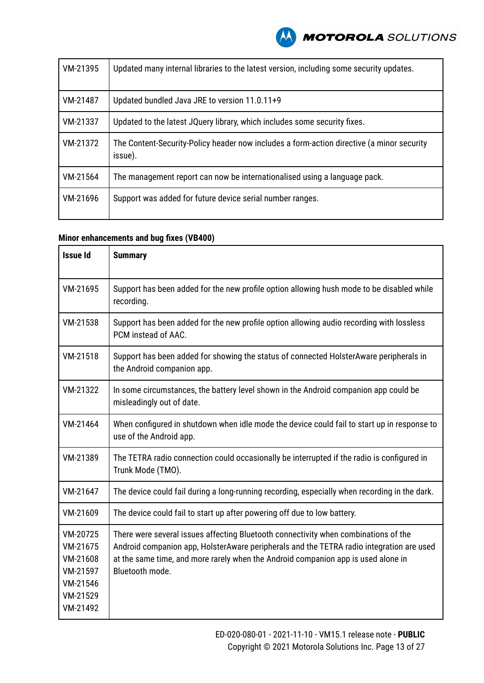| VM-21395 | Updated many internal libraries to the latest version, including some security updates.              |  |
|----------|------------------------------------------------------------------------------------------------------|--|
| VM-21487 | Updated bundled Java JRE to version 11.0.11+9                                                        |  |
| VM-21337 | Updated to the latest JQuery library, which includes some security fixes.                            |  |
| VM-21372 | The Content-Security-Policy header now includes a form-action directive (a minor security<br>issue). |  |
| VM-21564 | The management report can now be internationalised using a language pack.                            |  |
| VM-21696 | Support was added for future device serial number ranges.                                            |  |

| <b>Issue Id</b>                                                                  | <b>Summary</b>                                                                                                                                                                                                                                                                          |  |
|----------------------------------------------------------------------------------|-----------------------------------------------------------------------------------------------------------------------------------------------------------------------------------------------------------------------------------------------------------------------------------------|--|
| VM-21695                                                                         | Support has been added for the new profile option allowing hush mode to be disabled while<br>recording.                                                                                                                                                                                 |  |
| VM-21538                                                                         | Support has been added for the new profile option allowing audio recording with lossless<br>PCM instead of AAC.                                                                                                                                                                         |  |
| VM-21518                                                                         | Support has been added for showing the status of connected Holster Aware peripherals in<br>the Android companion app.                                                                                                                                                                   |  |
| VM-21322                                                                         | In some circumstances, the battery level shown in the Android companion app could be<br>misleadingly out of date.                                                                                                                                                                       |  |
| VM-21464                                                                         | When configured in shutdown when idle mode the device could fail to start up in response to<br>use of the Android app.                                                                                                                                                                  |  |
| VM-21389                                                                         | The TETRA radio connection could occasionally be interrupted if the radio is configured in<br>Trunk Mode (TMO).                                                                                                                                                                         |  |
| VM-21647                                                                         | The device could fail during a long-running recording, especially when recording in the dark.                                                                                                                                                                                           |  |
| VM-21609                                                                         | The device could fail to start up after powering off due to low battery.                                                                                                                                                                                                                |  |
| VM-20725<br>VM-21675<br>VM-21608<br>VM-21597<br>VM-21546<br>VM-21529<br>VM-21492 | There were several issues affecting Bluetooth connectivity when combinations of the<br>Android companion app, HolsterAware peripherals and the TETRA radio integration are used<br>at the same time, and more rarely when the Android companion app is used alone in<br>Bluetooth mode. |  |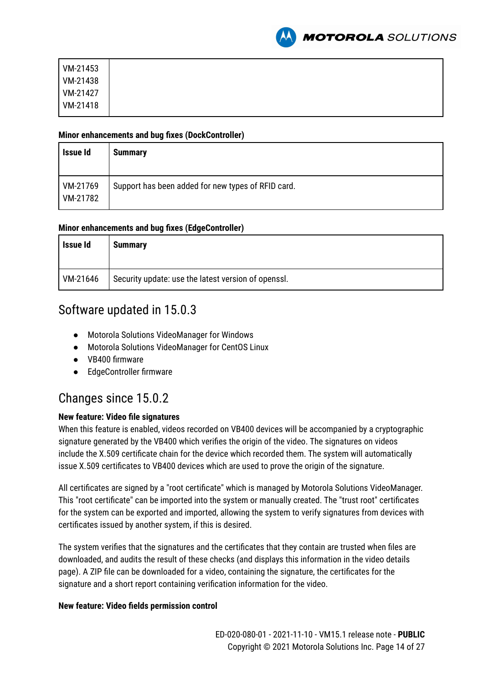

| VM-21453 |
|----------|
| VM-21438 |
| VM-21427 |
| VM-21418 |

#### **Minor enhancements and bug fixes (DockController)**

| Issue Id             | <b>Summary</b>                                     |
|----------------------|----------------------------------------------------|
| VM-21769<br>VM-21782 | Support has been added for new types of RFID card. |

### **Minor enhancements and bug fixes (EdgeController)**

| Issue Id | <b>Summary</b>                                      |
|----------|-----------------------------------------------------|
| VM-21646 | Security update: use the latest version of openssl. |

# Software updated in 15.0.3

- Motorola Solutions VideoManager for Windows
- Motorola Solutions VideoManager for CentOS Linux
- VB400 firmware
- EdgeController firmware

# Changes since 15.0.2

# **New feature: Video file signatures**

When this feature is enabled, videos recorded on VB400 devices will be accompanied by a cryptographic signature generated by the VB400 which verifies the origin of the video. The signatures on videos include the X.509 certificate chain for the device which recorded them. The system will automatically issue X.509 certificates to VB400 devices which are used to prove the origin of the signature.

All certificates are signed by a "root certificate" which is managed by Motorola Solutions VideoManager. This "root certificate" can be imported into the system or manually created. The "trust root" certificates for the system can be exported and imported, allowing the system to verify signatures from devices with certificates issued by another system, if this is desired.

The system verifies that the signatures and the certificates that they contain are trusted when files are downloaded, and audits the result of these checks (and displays this information in the video details page). A ZIP file can be downloaded for a video, containing the signature, the certificates for the signature and a short report containing verification information for the video.

### **New feature: Video fields permission control**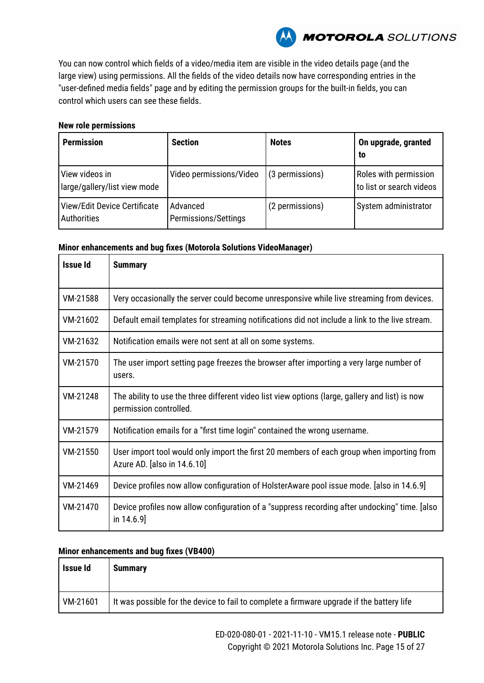

You can now control which fields of a video/media item are visible in the video details page (and the large view) using permissions. All the fields of the video details now have corresponding entries in the "user-defined media fields" page and by editing the permission groups for the built-in fields, you can control which users can see these fields.

#### **New role permissions**

| <b>Permission</b>                              | <b>Section</b>                   | <b>Notes</b>    | On upgrade, granted<br>to                         |
|------------------------------------------------|----------------------------------|-----------------|---------------------------------------------------|
| View videos in<br>large/gallery/list view mode | Video permissions/Video          | (3 permissions) | Roles with permission<br>to list or search videos |
| View/Edit Device Certificate<br>Authorities    | Advanced<br>Permissions/Settings | (2 permissions) | System administrator                              |

#### **Minor enhancements and bug fixes (Motorola Solutions VideoManager)**

| <b>Issue Id</b> | <b>Summary</b>                                                                                                            |  |
|-----------------|---------------------------------------------------------------------------------------------------------------------------|--|
| VM-21588        | Very occasionally the server could become unresponsive while live streaming from devices.                                 |  |
| VM-21602        | Default email templates for streaming notifications did not include a link to the live stream.                            |  |
| VM-21632        | Notification emails were not sent at all on some systems.                                                                 |  |
| VM-21570        | The user import setting page freezes the browser after importing a very large number of<br>users.                         |  |
| VM-21248        | The ability to use the three different video list view options (large, gallery and list) is now<br>permission controlled. |  |
| VM-21579        | Notification emails for a "first time login" contained the wrong username.                                                |  |
| VM-21550        | User import tool would only import the first 20 members of each group when importing from<br>Azure AD. [also in 14.6.10]  |  |
| VM-21469        | Device profiles now allow configuration of HolsterAware pool issue mode. [also in 14.6.9]                                 |  |
| VM-21470        | Device profiles now allow configuration of a "suppress recording after undocking" time. [also<br>in $14.6.9$ ]            |  |

| Issue Id | <b>Summary</b>                                                                            |
|----------|-------------------------------------------------------------------------------------------|
| VM-21601 | It was possible for the device to fail to complete a firmware upgrade if the battery life |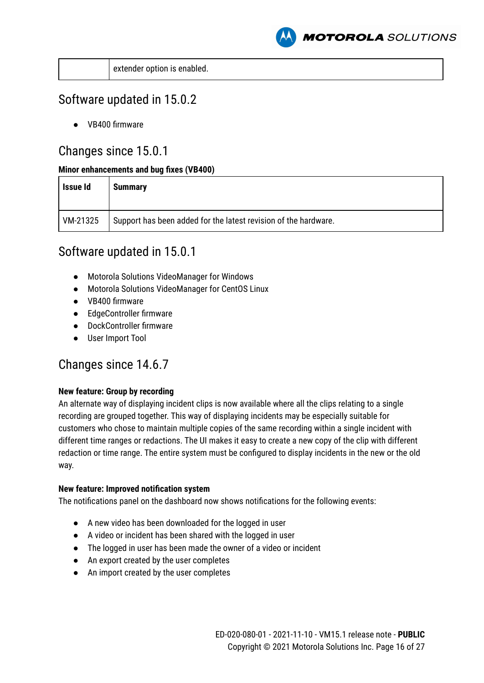

|  | extender option is enabled. |
|--|-----------------------------|
|--|-----------------------------|

# Software updated in 15.0.2

● VB400 firmware

# Changes since 15.0.1

# **Minor enhancements and bug fixes (VB400)**

| Issue Id | <b>Summary</b>                                                  |
|----------|-----------------------------------------------------------------|
| VM-21325 | Support has been added for the latest revision of the hardware. |

# Software updated in 15.0.1

- Motorola Solutions VideoManager for Windows
- Motorola Solutions VideoManager for CentOS Linux
- VB400 firmware
- EdgeController firmware
- DockController firmware
- User Import Tool

# Changes since 14.6.7

# **New feature: Group by recording**

An alternate way of displaying incident clips is now available where all the clips relating to a single recording are grouped together. This way of displaying incidents may be especially suitable for customers who chose to maintain multiple copies of the same recording within a single incident with different time ranges or redactions. The UI makes it easy to create a new copy of the clip with different redaction or time range. The entire system must be configured to display incidents in the new or the old way.

# **New feature: Improved notification system**

The notifications panel on the dashboard now shows notifications for the following events:

- A new video has been downloaded for the logged in user
- A video or incident has been shared with the logged in user
- The logged in user has been made the owner of a video or incident
- An export created by the user completes
- An import created by the user completes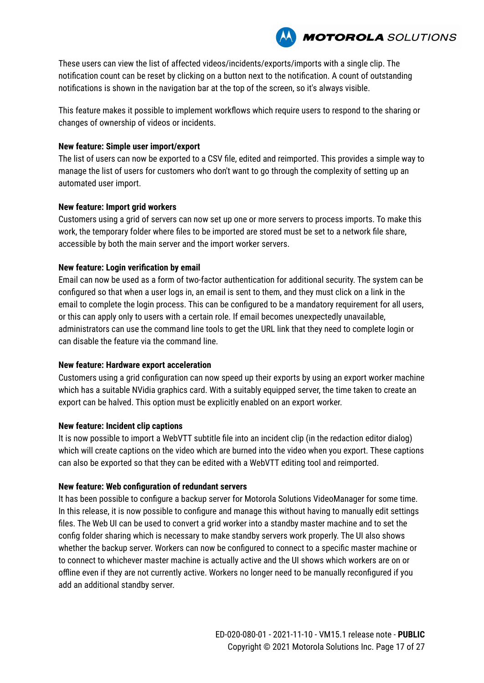These users can view the list of affected videos/incidents/exports/imports with a single clip. The notification count can be reset by clicking on a button next to the notification. A count of outstanding notifications is shown in the navigation bar at the top of the screen, so it's always visible.

**MOTOROLA** SOLUTIONS

This feature makes it possible to implement workflows which require users to respond to the sharing or changes of ownership of videos or incidents.

### **New feature: Simple user import/export**

The list of users can now be exported to a CSV file, edited and reimported. This provides a simple way to manage the list of users for customers who don't want to go through the complexity of setting up an automated user import.

# **New feature: Import grid workers**

Customers using a grid of servers can now set up one or more servers to process imports. To make this work, the temporary folder where files to be imported are stored must be set to a network file share, accessible by both the main server and the import worker servers.

### **New feature: Login verification by email**

Email can now be used as a form of two-factor authentication for additional security. The system can be configured so that when a user logs in, an email is sent to them, and they must click on a link in the email to complete the login process. This can be configured to be a mandatory requirement for all users, or this can apply only to users with a certain role. If email becomes unexpectedly unavailable, administrators can use the command line tools to get the URL link that they need to complete login or can disable the feature via the command line.

### **New feature: Hardware export acceleration**

Customers using a grid configuration can now speed up their exports by using an export worker machine which has a suitable NVidia graphics card. With a suitably equipped server, the time taken to create an export can be halved. This option must be explicitly enabled on an export worker.

### **New feature: Incident clip captions**

It is now possible to import a WebVTT subtitle file into an incident clip (in the redaction editor dialog) which will create captions on the video which are burned into the video when you export. These captions can also be exported so that they can be edited with a WebVTT editing tool and reimported.

### **New feature: Web configuration of redundant servers**

It has been possible to configure a backup server for Motorola Solutions VideoManager for some time. In this release, it is now possible to configure and manage this without having to manually edit settings files. The Web UI can be used to convert a grid worker into a standby master machine and to set the config folder sharing which is necessary to make standby servers work properly. The UI also shows whether the backup server. Workers can now be configured to connect to a specific master machine or to connect to whichever master machine is actually active and the UI shows which workers are on or offline even if they are not currently active. Workers no longer need to be manually reconfigured if you add an additional standby server.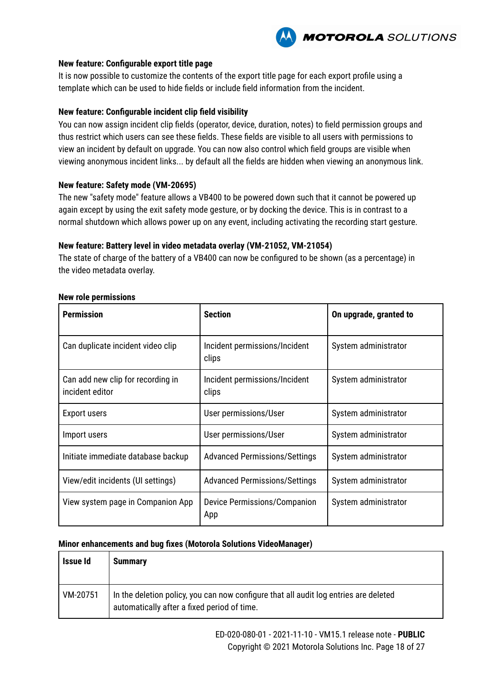

#### **New feature: Configurable export title page**

It is now possible to customize the contents of the export title page for each export profile using a template which can be used to hide fields or include field information from the incident.

#### **New feature: Configurable incident clip field visibility**

You can now assign incident clip fields (operator, device, duration, notes) to field permission groups and thus restrict which users can see these fields. These fields are visible to all users with permissions to view an incident by default on upgrade. You can now also control which field groups are visible when viewing anonymous incident links... by default all the fields are hidden when viewing an anonymous link.

#### **New feature: Safety mode (VM-20695)**

The new "safety mode" feature allows a VB400 to be powered down such that it cannot be powered up again except by using the exit safety mode gesture, or by docking the device. This is in contrast to a normal shutdown which allows power up on any event, including activating the recording start gesture.

#### **New feature: Battery level in video metadata overlay (VM-21052, VM-21054)**

The state of charge of the battery of a VB400 can now be configured to be shown (as a percentage) in the video metadata overlay.

| <b>Permission</b>                                    | <b>Section</b>                         | On upgrade, granted to |
|------------------------------------------------------|----------------------------------------|------------------------|
| Can duplicate incident video clip                    | Incident permissions/Incident<br>clips | System administrator   |
| Can add new clip for recording in<br>incident editor | Incident permissions/Incident<br>clips | System administrator   |
| Export users                                         | User permissions/User                  | System administrator   |
| Import users                                         | User permissions/User                  | System administrator   |
| Initiate immediate database backup                   | <b>Advanced Permissions/Settings</b>   | System administrator   |
| View/edit incidents (UI settings)                    | <b>Advanced Permissions/Settings</b>   | System administrator   |
| View system page in Companion App                    | Device Permissions/Companion<br>App    | System administrator   |

#### **New role permissions**

| Issue Id | <b>Summary</b>                                                                                                                      |
|----------|-------------------------------------------------------------------------------------------------------------------------------------|
| VM-20751 | In the deletion policy, you can now configure that all audit log entries are deleted<br>automatically after a fixed period of time. |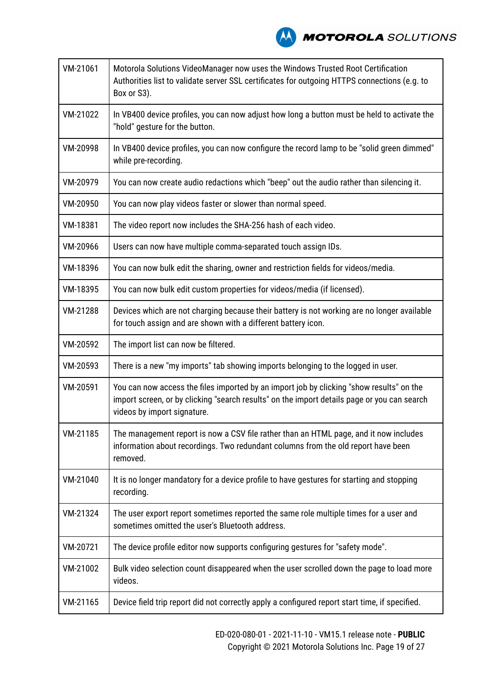

| VM-21061 | Motorola Solutions VideoManager now uses the Windows Trusted Root Certification<br>Authorities list to validate server SSL certificates for outgoing HTTPS connections (e.g. to<br>Box or S3).                         |
|----------|------------------------------------------------------------------------------------------------------------------------------------------------------------------------------------------------------------------------|
| VM-21022 | In VB400 device profiles, you can now adjust how long a button must be held to activate the<br>"hold" gesture for the button.                                                                                          |
| VM-20998 | In VB400 device profiles, you can now configure the record lamp to be "solid green dimmed"<br>while pre-recording.                                                                                                     |
| VM-20979 | You can now create audio redactions which "beep" out the audio rather than silencing it.                                                                                                                               |
| VM-20950 | You can now play videos faster or slower than normal speed.                                                                                                                                                            |
| VM-18381 | The video report now includes the SHA-256 hash of each video.                                                                                                                                                          |
| VM-20966 | Users can now have multiple comma-separated touch assign IDs.                                                                                                                                                          |
| VM-18396 | You can now bulk edit the sharing, owner and restriction fields for videos/media.                                                                                                                                      |
| VM-18395 | You can now bulk edit custom properties for videos/media (if licensed).                                                                                                                                                |
| VM-21288 | Devices which are not charging because their battery is not working are no longer available<br>for touch assign and are shown with a different battery icon.                                                           |
| VM-20592 | The import list can now be filtered.                                                                                                                                                                                   |
| VM-20593 | There is a new "my imports" tab showing imports belonging to the logged in user.                                                                                                                                       |
| VM-20591 | You can now access the files imported by an import job by clicking "show results" on the<br>import screen, or by clicking "search results" on the import details page or you can search<br>videos by import signature. |
| VM-21185 | The management report is now a CSV file rather than an HTML page, and it now includes<br>information about recordings. Two redundant columns from the old report have been<br>removed.                                 |
| VM-21040 | It is no longer mandatory for a device profile to have gestures for starting and stopping<br>recording.                                                                                                                |
| VM-21324 | The user export report sometimes reported the same role multiple times for a user and<br>sometimes omitted the user's Bluetooth address.                                                                               |
| VM-20721 | The device profile editor now supports configuring gestures for "safety mode".                                                                                                                                         |
| VM-21002 | Bulk video selection count disappeared when the user scrolled down the page to load more<br>videos.                                                                                                                    |
| VM-21165 | Device field trip report did not correctly apply a configured report start time, if specified.                                                                                                                         |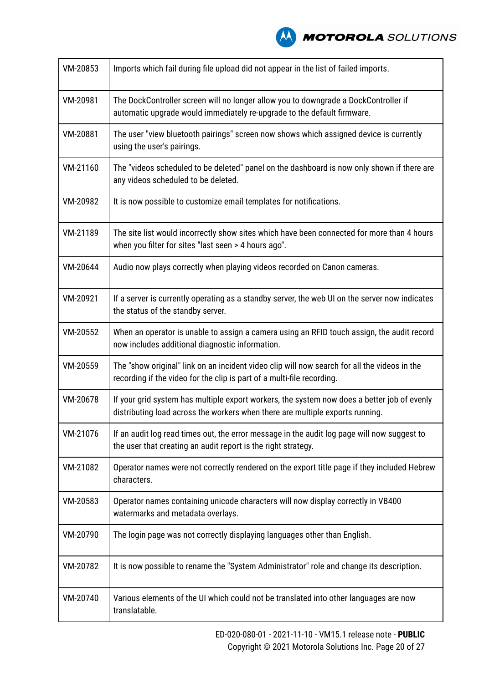

| VM-20853 | Imports which fail during file upload did not appear in the list of failed imports.                                                                                          |
|----------|------------------------------------------------------------------------------------------------------------------------------------------------------------------------------|
| VM-20981 | The DockController screen will no longer allow you to downgrade a DockController if<br>automatic upgrade would immediately re-upgrade to the default firmware.               |
| VM-20881 | The user "view bluetooth pairings" screen now shows which assigned device is currently<br>using the user's pairings.                                                         |
| VM-21160 | The "videos scheduled to be deleted" panel on the dashboard is now only shown if there are<br>any videos scheduled to be deleted.                                            |
| VM-20982 | It is now possible to customize email templates for notifications.                                                                                                           |
| VM-21189 | The site list would incorrectly show sites which have been connected for more than 4 hours<br>when you filter for sites "last seen > 4 hours ago".                           |
| VM-20644 | Audio now plays correctly when playing videos recorded on Canon cameras.                                                                                                     |
| VM-20921 | If a server is currently operating as a standby server, the web UI on the server now indicates<br>the status of the standby server.                                          |
| VM-20552 | When an operator is unable to assign a camera using an RFID touch assign, the audit record<br>now includes additional diagnostic information.                                |
| VM-20559 | The "show original" link on an incident video clip will now search for all the videos in the<br>recording if the video for the clip is part of a multi-file recording.       |
| VM-20678 | If your grid system has multiple export workers, the system now does a better job of evenly<br>distributing load across the workers when there are multiple exports running. |
| VM-21076 | If an audit log read times out, the error message in the audit log page will now suggest to<br>the user that creating an audit report is the right strategy.                 |
| VM-21082 | Operator names were not correctly rendered on the export title page if they included Hebrew<br>characters.                                                                   |
| VM-20583 | Operator names containing unicode characters will now display correctly in VB400<br>watermarks and metadata overlays.                                                        |
| VM-20790 | The login page was not correctly displaying languages other than English.                                                                                                    |
| VM-20782 | It is now possible to rename the "System Administrator" role and change its description.                                                                                     |
| VM-20740 | Various elements of the UI which could not be translated into other languages are now<br>translatable.                                                                       |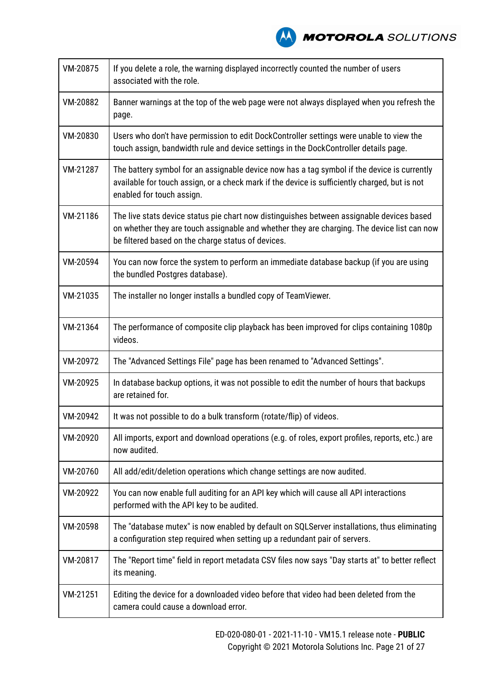**A MOTOROLA** SOLUTIONS

| VM-20875 | If you delete a role, the warning displayed incorrectly counted the number of users<br>associated with the role.                                                                                                                               |
|----------|------------------------------------------------------------------------------------------------------------------------------------------------------------------------------------------------------------------------------------------------|
| VM-20882 | Banner warnings at the top of the web page were not always displayed when you refresh the<br>page.                                                                                                                                             |
| VM-20830 | Users who don't have permission to edit DockController settings were unable to view the<br>touch assign, bandwidth rule and device settings in the DockController details page.                                                                |
| VM-21287 | The battery symbol for an assignable device now has a tag symbol if the device is currently<br>available for touch assign, or a check mark if the device is sufficiently charged, but is not<br>enabled for touch assign.                      |
| VM-21186 | The live stats device status pie chart now distinguishes between assignable devices based<br>on whether they are touch assignable and whether they are charging. The device list can now<br>be filtered based on the charge status of devices. |
| VM-20594 | You can now force the system to perform an immediate database backup (if you are using<br>the bundled Postgres database).                                                                                                                      |
| VM-21035 | The installer no longer installs a bundled copy of TeamViewer.                                                                                                                                                                                 |
| VM-21364 | The performance of composite clip playback has been improved for clips containing 1080p<br>videos.                                                                                                                                             |
| VM-20972 | The "Advanced Settings File" page has been renamed to "Advanced Settings".                                                                                                                                                                     |
| VM-20925 | In database backup options, it was not possible to edit the number of hours that backups<br>are retained for.                                                                                                                                  |
| VM-20942 | It was not possible to do a bulk transform (rotate/flip) of videos.                                                                                                                                                                            |
| VM-20920 | All imports, export and download operations (e.g. of roles, export profiles, reports, etc.) are<br>now audited.                                                                                                                                |
| VM-20760 | All add/edit/deletion operations which change settings are now audited.                                                                                                                                                                        |
| VM-20922 | You can now enable full auditing for an API key which will cause all API interactions<br>performed with the API key to be audited.                                                                                                             |
| VM-20598 | The "database mutex" is now enabled by default on SQLServer installations, thus eliminating<br>a configuration step required when setting up a redundant pair of servers.                                                                      |
| VM-20817 | The "Report time" field in report metadata CSV files now says "Day starts at" to better reflect<br>its meaning.                                                                                                                                |
| VM-21251 | Editing the device for a downloaded video before that video had been deleted from the<br>camera could cause a download error.                                                                                                                  |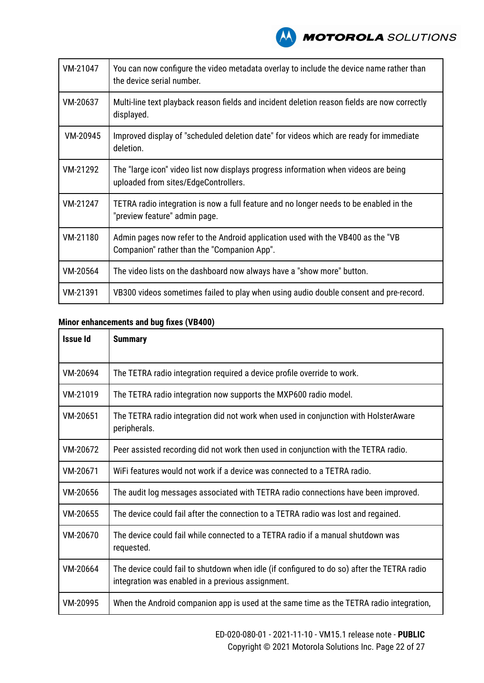

| VM-21047 | You can now configure the video metadata overlay to include the device name rather than<br>the device serial number.           |
|----------|--------------------------------------------------------------------------------------------------------------------------------|
| VM-20637 | Multi-line text playback reason fields and incident deletion reason fields are now correctly<br>displayed.                     |
| VM-20945 | Improved display of "scheduled deletion date" for videos which are ready for immediate<br>deletion.                            |
| VM-21292 | The "large icon" video list now displays progress information when videos are being<br>uploaded from sites/EdgeControllers.    |
| VM-21247 | TETRA radio integration is now a full feature and no longer needs to be enabled in the<br>"preview feature" admin page.        |
| VM-21180 | Admin pages now refer to the Android application used with the VB400 as the "VB<br>Companion" rather than the "Companion App". |
| VM-20564 | The video lists on the dashboard now always have a "show more" button.                                                         |
| VM-21391 | VB300 videos sometimes failed to play when using audio double consent and pre-record.                                          |

| <b>Issue Id</b> | <b>Summary</b>                                                                                                                                  |
|-----------------|-------------------------------------------------------------------------------------------------------------------------------------------------|
| VM-20694        | The TETRA radio integration required a device profile override to work.                                                                         |
| VM-21019        | The TETRA radio integration now supports the MXP600 radio model.                                                                                |
| VM-20651        | The TETRA radio integration did not work when used in conjunction with HolsterAware<br>peripherals.                                             |
| VM-20672        | Peer assisted recording did not work then used in conjunction with the TETRA radio.                                                             |
| VM-20671        | WiFi features would not work if a device was connected to a TETRA radio.                                                                        |
| VM-20656        | The audit log messages associated with TETRA radio connections have been improved.                                                              |
| VM-20655        | The device could fail after the connection to a TETRA radio was lost and regained.                                                              |
| VM-20670        | The device could fail while connected to a TETRA radio if a manual shutdown was<br>requested.                                                   |
| VM-20664        | The device could fail to shutdown when idle (if configured to do so) after the TETRA radio<br>integration was enabled in a previous assignment. |
| VM-20995        | When the Android companion app is used at the same time as the TETRA radio integration,                                                         |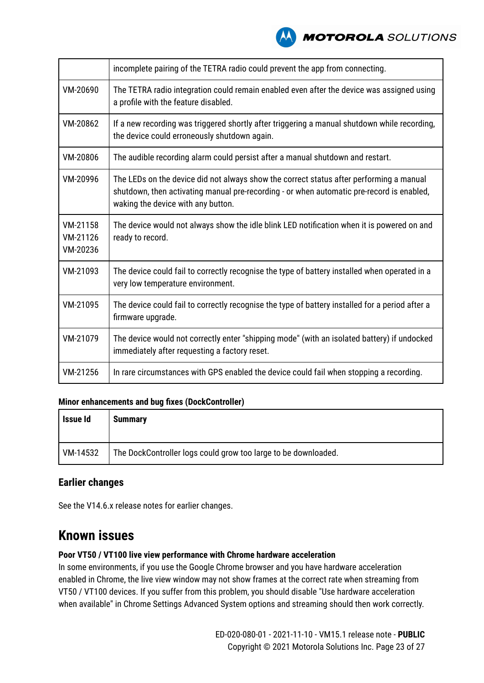

|                                  | incomplete pairing of the TETRA radio could prevent the app from connecting.                                                                                                                                               |
|----------------------------------|----------------------------------------------------------------------------------------------------------------------------------------------------------------------------------------------------------------------------|
| VM-20690                         | The TETRA radio integration could remain enabled even after the device was assigned using<br>a profile with the feature disabled.                                                                                          |
| VM-20862                         | If a new recording was triggered shortly after triggering a manual shutdown while recording,<br>the device could erroneously shutdown again.                                                                               |
| VM-20806                         | The audible recording alarm could persist after a manual shutdown and restart.                                                                                                                                             |
| VM-20996                         | The LEDs on the device did not always show the correct status after performing a manual<br>shutdown, then activating manual pre-recording - or when automatic pre-record is enabled,<br>waking the device with any button. |
| VM-21158<br>VM-21126<br>VM-20236 | The device would not always show the idle blink LED notification when it is powered on and<br>ready to record.                                                                                                             |
| VM-21093                         | The device could fail to correctly recognise the type of battery installed when operated in a<br>very low temperature environment.                                                                                         |
| VM-21095                         | The device could fail to correctly recognise the type of battery installed for a period after a<br>firmware upgrade.                                                                                                       |
| VM-21079                         | The device would not correctly enter "shipping mode" (with an isolated battery) if undocked<br>immediately after requesting a factory reset.                                                                               |
| VM-21256                         | In rare circumstances with GPS enabled the device could fail when stopping a recording.                                                                                                                                    |

### **Minor enhancements and bug fixes (DockController)**

| Issue Id | <b>Summary</b>                                                 |
|----------|----------------------------------------------------------------|
| VM-14532 | The DockController logs could grow too large to be downloaded. |

# **Earlier changes**

See the V14.6.x release notes for earlier changes.

# **Known issues**

### **Poor VT50 / VT100 live view performance with Chrome hardware acceleration**

In some environments, if you use the Google Chrome browser and you have hardware acceleration enabled in Chrome, the live view window may not show frames at the correct rate when streaming from VT50 / VT100 devices. If you suffer from this problem, you should disable "Use hardware acceleration when available" in Chrome Settings Advanced System options and streaming should then work correctly.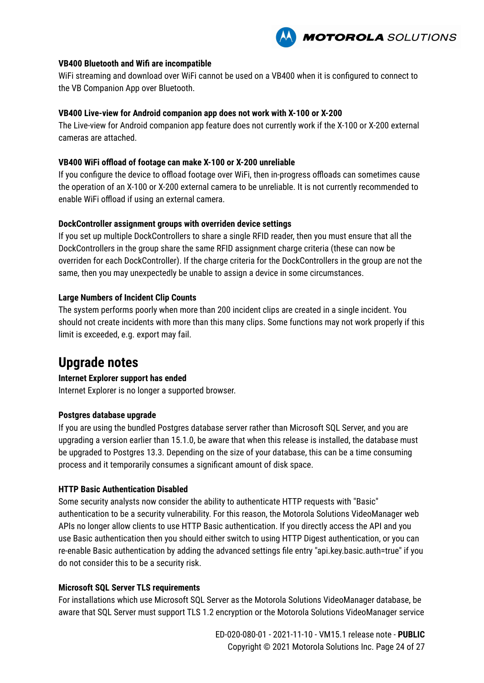

#### **VB400 Bluetooth and Wifi are incompatible**

WiFi streaming and download over WiFi cannot be used on a VB400 when it is configured to connect to the VB Companion App over Bluetooth.

#### **VB400 Live-view for Android companion app does not work with X-100 or X-200**

The Live-view for Android companion app feature does not currently work if the X-100 or X-200 external cameras are attached.

#### **VB400 WiFi offload of footage can make X-100 or X-200 unreliable**

If you configure the device to offload footage over WiFi, then in-progress offloads can sometimes cause the operation of an X-100 or X-200 external camera to be unreliable. It is not currently recommended to enable WiFi offload if using an external camera.

#### **DockController assignment groups with overriden device settings**

If you set up multiple DockControllers to share a single RFID reader, then you must ensure that all the DockControllers in the group share the same RFID assignment charge criteria (these can now be overriden for each DockController). If the charge criteria for the DockControllers in the group are not the same, then you may unexpectedly be unable to assign a device in some circumstances.

#### **Large Numbers of Incident Clip Counts**

The system performs poorly when more than 200 incident clips are created in a single incident. You should not create incidents with more than this many clips. Some functions may not work properly if this limit is exceeded, e.g. export may fail.

# **Upgrade notes**

### **Internet Explorer support has ended**

Internet Explorer is no longer a supported browser.

#### **Postgres database upgrade**

If you are using the bundled Postgres database server rather than Microsoft SQL Server, and you are upgrading a version earlier than 15.1.0, be aware that when this release is installed, the database must be upgraded to Postgres 13.3. Depending on the size of your database, this can be a time consuming process and it temporarily consumes a significant amount of disk space.

#### **HTTP Basic Authentication Disabled**

Some security analysts now consider the ability to authenticate HTTP requests with "Basic" authentication to be a security vulnerability. For this reason, the Motorola Solutions VideoManager web APIs no longer allow clients to use HTTP Basic authentication. If you directly access the API and you use Basic authentication then you should either switch to using HTTP Digest authentication, or you can re-enable Basic authentication by adding the advanced settings file entry "api.key.basic.auth=true" if you do not consider this to be a security risk.

#### **Microsoft SQL Server TLS requirements**

For installations which use Microsoft SQL Server as the Motorola Solutions VideoManager database, be aware that SQL Server must support TLS 1.2 encryption or the Motorola Solutions VideoManager service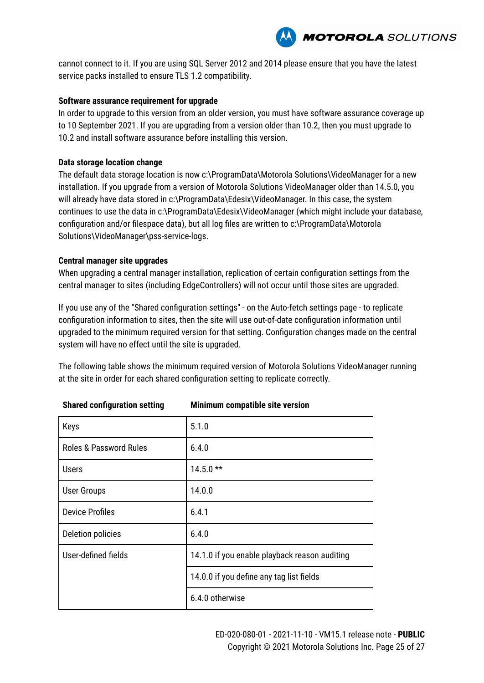

cannot connect to it. If you are using SQL Server 2012 and 2014 please ensure that you have the latest service packs installed to ensure TLS 1.2 compatibility.

### **Software assurance requirement for upgrade**

In order to upgrade to this version from an older version, you must have software assurance coverage up to 10 September 2021. If you are upgrading from a version older than 10.2, then you must upgrade to 10.2 and install software assurance before installing this version.

#### **Data storage location change**

The default data storage location is now c:\ProgramData\Motorola Solutions\VideoManager for a new installation. If you upgrade from a version of Motorola Solutions VideoManager older than 14.5.0, you will already have data stored in c:\ProgramData\Edesix\VideoManager. In this case, the system continues to use the data in c:\ProgramData\Edesix\VideoManager (which might include your database, configuration and/or filespace data), but all log files are written to c:\ProgramData\Motorola Solutions\VideoManager\pss-service-logs.

#### **Central manager site upgrades**

When upgrading a central manager installation, replication of certain configuration settings from the central manager to sites (including EdgeControllers) will not occur until those sites are upgraded.

If you use any of the "Shared configuration settings" - on the Auto-fetch settings page - to replicate configuration information to sites, then the site will use out-of-date configuration information until upgraded to the minimum required version for that setting. Configuration changes made on the central system will have no effect until the site is upgraded.

The following table shows the minimum required version of Motorola Solutions VideoManager running at the site in order for each shared configuration setting to replicate correctly.

| Keys                              | 5.1.0                                         |
|-----------------------------------|-----------------------------------------------|
| <b>Roles &amp; Password Rules</b> | 6.4.0                                         |
| <b>Users</b>                      | $14.5.0**$                                    |
| <b>User Groups</b>                | 14.0.0                                        |
| <b>Device Profiles</b>            | 6.4.1                                         |
| Deletion policies                 | 6.4.0                                         |
| User-defined fields               | 14.1.0 if you enable playback reason auditing |
|                                   | 14.0.0 if you define any tag list fields      |
|                                   | 6.4.0 otherwise                               |

### **Shared configuration setting Minimum compatible site version**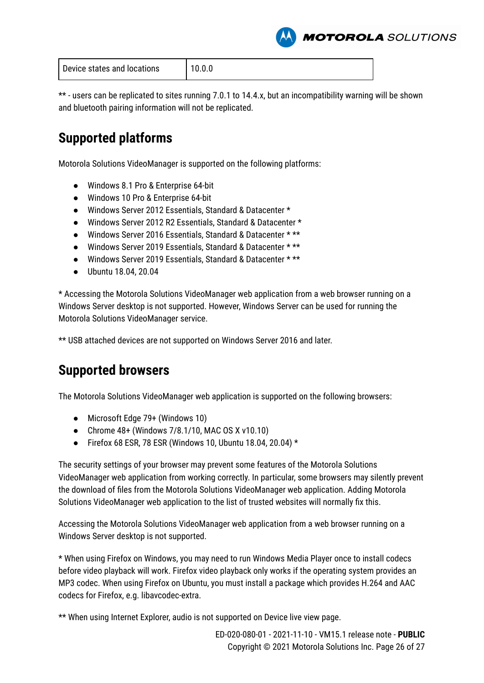**MOTOROLA** SOLUTIONS

| Device states and locations | 10.0.0 |
|-----------------------------|--------|
|                             |        |

\*\* - users can be replicated to sites running 7.0.1 to 14.4.x, but an incompatibility warning will be shown and bluetooth pairing information will not be replicated.

# **Supported platforms**

Motorola Solutions VideoManager is supported on the following platforms:

- Windows 8.1 Pro & Enterprise 64-bit
- Windows 10 Pro & Enterprise 64-bit
- Windows Server 2012 Essentials, Standard & Datacenter \*
- Windows Server 2012 R2 Essentials, Standard & Datacenter \*
- Windows Server 2016 Essentials, Standard & Datacenter \* \*\*
- Windows Server 2019 Essentials, Standard & Datacenter \* \*\*
- Windows Server 2019 Essentials, Standard & Datacenter \* \*\*
- Ubuntu 18.04, 20.04

\* Accessing the Motorola Solutions VideoManager web application from a web browser running on a Windows Server desktop is not supported. However, Windows Server can be used for running the Motorola Solutions VideoManager service.

\*\* USB attached devices are not supported on Windows Server 2016 and later.

# **Supported browsers**

The Motorola Solutions VideoManager web application is supported on the following browsers:

- Microsoft Edge 79+ (Windows 10)
- Chrome 48+ (Windows 7/8.1/10, MAC OS X v10.10)
- Firefox 68 ESR, 78 ESR (Windows 10, Ubuntu 18.04, 20.04)  $*$

The security settings of your browser may prevent some features of the Motorola Solutions VideoManager web application from working correctly. In particular, some browsers may silently prevent the download of files from the Motorola Solutions VideoManager web application. Adding Motorola Solutions VideoManager web application to the list of trusted websites will normally fix this.

Accessing the Motorola Solutions VideoManager web application from a web browser running on a Windows Server desktop is not supported.

\* When using Firefox on Windows, you may need to run Windows Media Player once to install codecs before video playback will work. Firefox video playback only works if the operating system provides an MP3 codec. When using Firefox on Ubuntu, you must install a package which provides H.264 and AAC codecs for Firefox, e.g. libavcodec-extra.

\*\* When using Internet Explorer, audio is not supported on Device live view page.